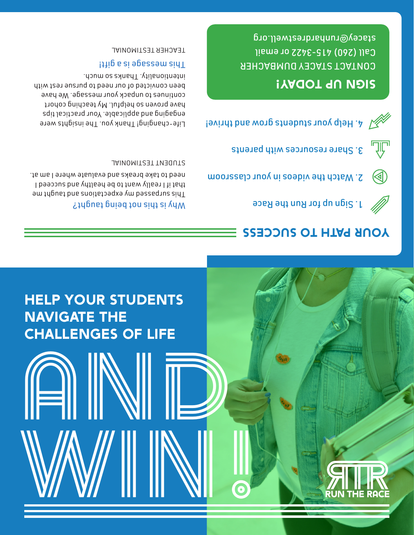# HELP YOUR STUDENTS NAVIGATE THE CHALLENGES of life

AND

WWWWWWW

# YOUR PATH TO SUCCESS



2. Watch the videos in your classroom







# SIGN UP TODAY!

CONTACT STACEY DUMBACHER Call (260) 415-3422 or email stacey@runhardrestwell.org

#### Why is this not being taught?

This surpassed was depth and the taught me and the taught me that if I really want to be healthy and succeed I need to take breaks and evaluate where I am at.

STUDENT TESTIMONIAL

Life-changing! Thank you. The insights were engaging and applicable. Your practical tips have proven so helpful. My teaching cohort continues to unpack your message. We have been convicted of our need to pursue rest with intentionality. Thanks so much.

### This message is a gift!

TEACHER TESTIMONIAL